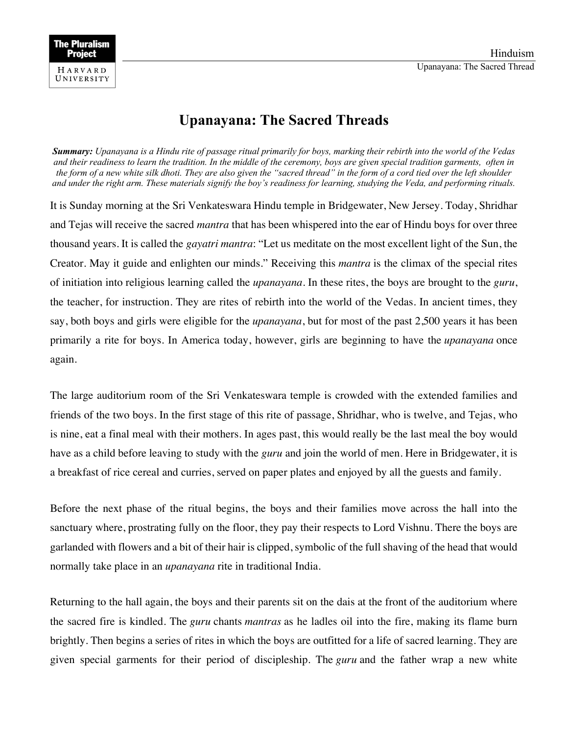## **Upanayana: The Sacred Threads**

*Summary: Upanayana is a Hindu rite of passage ritual primarily for boys, marking their rebirth into the world of the Vedas and their readiness to learn the tradition. In the middle of the ceremony, boys are given special tradition garments, often in the form of a new white silk dhoti. They are also given the "sacred thread" in the form of a cord tied over the left shoulder and under the right arm. These materials signify the boy's readiness for learning, studying the Veda, and performing rituals.*

It is Sunday morning at the Sri Venkateswara Hindu temple in Bridgewater, New Jersey. Today, Shridhar and Tejas will receive the sacred *mantra* that has been whispered into the ear of Hindu boys for over three thousand years. It is called the *gayatri mantra*: "Let us meditate on the most excellent light of the Sun, the Creator. May it guide and enlighten our minds." Receiving this *mantra* is the climax of the special rites of initiation into religious learning called the *upanayana*. In these rites, the boys are brought to the *guru*, the teacher, for instruction. They are rites of rebirth into the world of the Vedas. In ancient times, they say, both boys and girls were eligible for the *upanayana*, but for most of the past 2,500 years it has been primarily a rite for boys. In America today, however, girls are beginning to have the *upanayana* once again.

The large auditorium room of the Sri Venkateswara temple is crowded with the extended families and friends of the two boys. In the first stage of this rite of passage, Shridhar, who is twelve, and Tejas, who is nine, eat a final meal with their mothers. In ages past, this would really be the last meal the boy would have as a child before leaving to study with the *guru* and join the world of men. Here in Bridgewater, it is a breakfast of rice cereal and curries, served on paper plates and enjoyed by all the guests and family.

Before the next phase of the ritual begins, the boys and their families move across the hall into the sanctuary where, prostrating fully on the floor, they pay their respects to Lord Vishnu. There the boys are garlanded with flowers and a bit of their hair is clipped, symbolic of the full shaving of the head that would normally take place in an *upanayana* rite in traditional India.

Returning to the hall again, the boys and their parents sit on the dais at the front of the auditorium where the sacred fire is kindled. The *guru* chants *mantras* as he ladles oil into the fire, making its flame burn brightly. Then begins a series of rites in which the boys are outfitted for a life of sacred learning. They are given special garments for their period of discipleship. The *guru* and the father wrap a new white